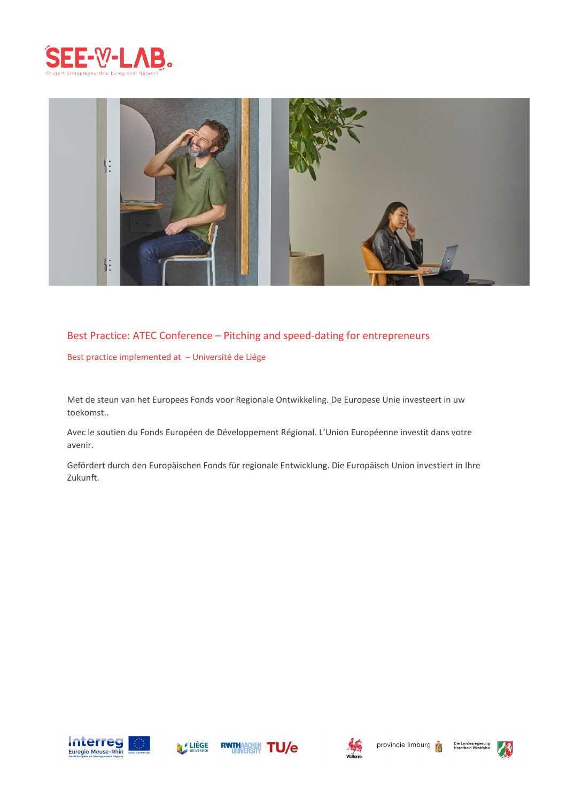



#### Best Practice: ATEC Conference – Pitching and speed-dating for entrepreneurs

Best practice implemented at – Université de Liége

Met de steun van het Europees Fonds voor Regionale Ontwikkeling. De Europese Unie investeert in uw toekomst..

Avec le soutien du Fonds Européen de Développement Régional. L'Union Européenne investit dans votre avenir.

Gefördert durch den Europäischen Fonds für regionale Entwicklung. Die Europäisch Union investiert in Ihre Zukunft.











Die Landesreg<br>Nordrhein-We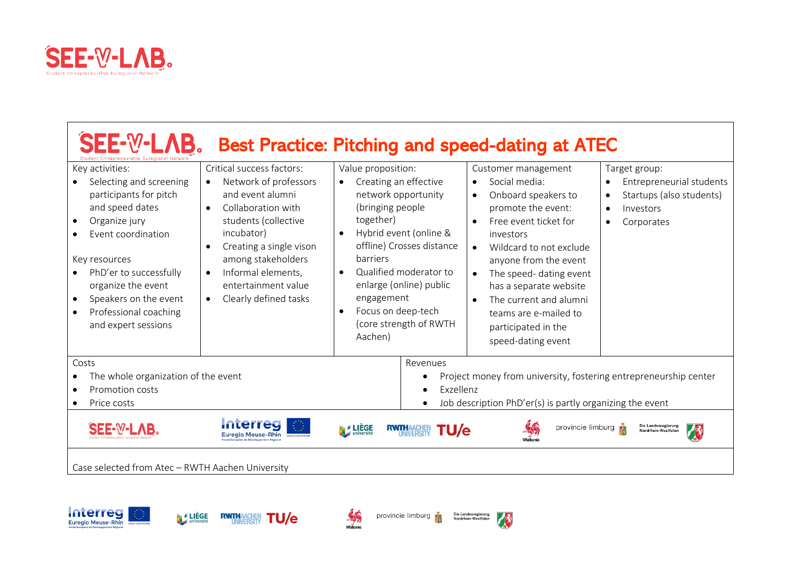

 $\mathbf{r}$ 

| SEE-W-LAB.<br>trepreneurship Euregional N                                                                                                                                                                                                                                             |                                                                                                                                                                                                                                                                                                               | <b>Best Practice: Pitching and speed-dating at ATEC</b>                                                                                                                                                                                                                                                                                                  |                                                                                                                                                                                                                                                                                                                                                                                                                |                                                                                                                                         |
|---------------------------------------------------------------------------------------------------------------------------------------------------------------------------------------------------------------------------------------------------------------------------------------|---------------------------------------------------------------------------------------------------------------------------------------------------------------------------------------------------------------------------------------------------------------------------------------------------------------|----------------------------------------------------------------------------------------------------------------------------------------------------------------------------------------------------------------------------------------------------------------------------------------------------------------------------------------------------------|----------------------------------------------------------------------------------------------------------------------------------------------------------------------------------------------------------------------------------------------------------------------------------------------------------------------------------------------------------------------------------------------------------------|-----------------------------------------------------------------------------------------------------------------------------------------|
| Key activities:<br>Selecting and screening<br>participants for pitch<br>and speed dates<br>Organize jury<br>Event coordination<br>Key resources<br>PhD'er to successfully<br>organize the event<br>Speakers on the event<br>$\bullet$<br>Professional coaching<br>and expert sessions | Critical success factors:<br>Network of professors<br>and event alumni<br>Collaboration with<br>$\bullet$<br>students (collective<br>incubator)<br>Creating a single vison<br>$\bullet$<br>among stakeholders<br>Informal elements,<br>$\bullet$<br>entertainment value<br>Clearly defined tasks<br>$\bullet$ | Value proposition:<br>Creating an effective<br>$\bullet$<br>network opportunity<br>(bringing people<br>together)<br>Hybrid event (online &<br>$\bullet$<br>offline) Crosses distance<br>barriers<br>Qualified moderator to<br>$\bullet$<br>enlarge (online) public<br>engagement<br>Focus on deep-tech<br>$\bullet$<br>(core strength of RWTH<br>Aachen) | Customer management<br>Social media:<br>$\bullet$<br>Onboard speakers to<br>$\bullet$<br>promote the event:<br>Free event ticket for<br>$\bullet$<br>investors<br>Wildcard to not exclude<br>$\bullet$<br>anyone from the event<br>The speed- dating event<br>$\bullet$<br>has a separate website<br>The current and alumni<br>$\bullet$<br>teams are e-mailed to<br>participated in the<br>speed-dating event | Target group:<br>Entrepreneurial students<br>$\bullet$<br>Startups (also students)<br>$\bullet$<br>Investors<br>$\bullet$<br>Corporates |
| Costs<br>Revenues<br>The whole organization of the event<br>Project money from university, fostering entrepreneurship center<br>Exzellenz<br>Promotion costs<br>Job description PhD'er(s) is partly organizing the event<br>Price costs                                               |                                                                                                                                                                                                                                                                                                               |                                                                                                                                                                                                                                                                                                                                                          |                                                                                                                                                                                                                                                                                                                                                                                                                |                                                                                                                                         |
| SEE-W-LAB.<br>Case selected from Atec - RWTH Aachen University                                                                                                                                                                                                                        | <b>Interreg</b><br><b>Euregio Meuse-Rhin</b>                                                                                                                                                                                                                                                                  | <b>FLIÈGE</b><br><b>U/e</b>                                                                                                                                                                                                                                                                                                                              | provincie limburg<br><b>Nalloni</b>                                                                                                                                                                                                                                                                                                                                                                            | Die Landesregierung<br>Nordrhein-Westfalen                                                                                              |





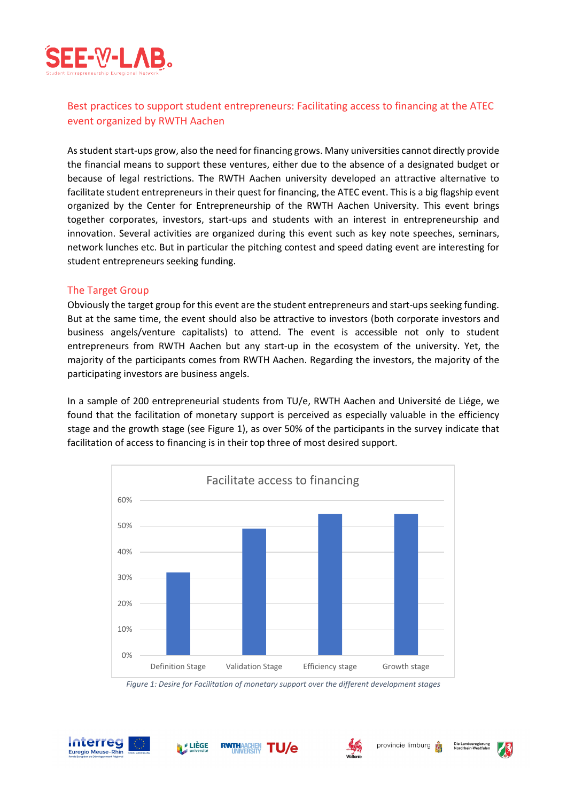

# Best practices to support student entrepreneurs: Facilitating access to financing at the ATEC event organized by RWTH Aachen

As student start-ups grow, also the need for financing grows. Many universities cannot directly provide the financial means to support these ventures, either due to the absence of a designated budget or because of legal restrictions. The RWTH Aachen university developed an attractive alternative to facilitate student entrepreneurs in their quest for financing, the ATEC event. This is a big flagship event organized by the Center for Entrepreneurship of the RWTH Aachen University. This event brings together corporates, investors, start-ups and students with an interest in entrepreneurship and innovation. Several activities are organized during this event such as key note speeches, seminars, network lunches etc. But in particular the pitching contest and speed dating event are interesting for student entrepreneurs seeking funding.

#### The Target Group

Obviously the target group for this event are the student entrepreneurs and start-ups seeking funding. But at the same time, the event should also be attractive to investors (both corporate investors and business angels/venture capitalists) to attend. The event is accessible not only to student entrepreneurs from RWTH Aachen but any start-up in the ecosystem of the university. Yet, the majority of the participants comes from RWTH Aachen. Regarding the investors, the majority of the participating investors are business angels.

In a sample of 200 entrepreneurial students from TU/e, RWTH Aachen and Université de Liége, we found that the facilitation of monetary support is perceived as especially valuable in the efficiency stage and the growth stage (see Figure 1), as over 50% of the participants in the survey indicate that facilitation of access to financing is in their top three of most desired support.



*Figure 1: Desire for Facilitation of monetary support over the different development stages*

**TU/e** 







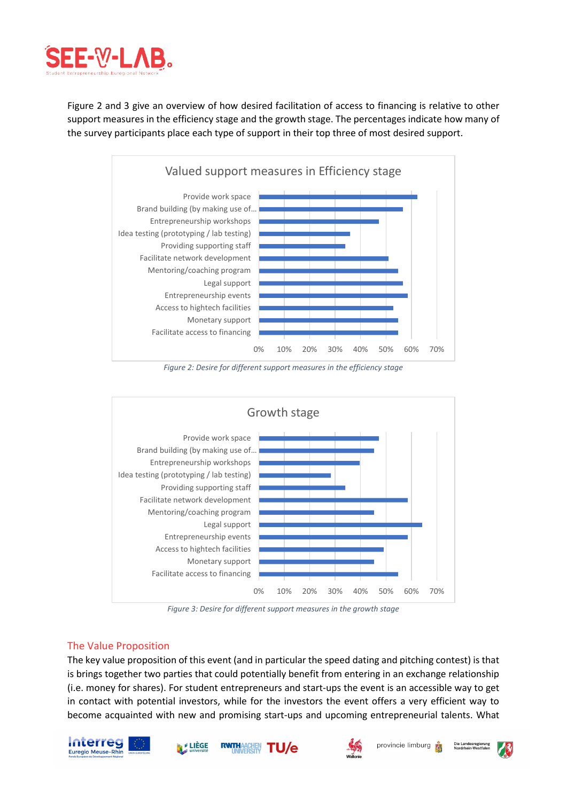

Figure 2 and 3 give an overview of how desired facilitation of access to financing is relative to other support measures in the efficiency stage and the growth stage. The percentages indicate how many of the survey participants place each type of support in their top three of most desired support.



*Figure 2: Desire for different support measures in the efficiency stage*



*Figure 3: Desire for different support measures in the growth stage*

## The Value Proposition

The key value proposition of this event (and in particular the speed dating and pitching contest) is that is brings together two parties that could potentially benefit from entering in an exchange relationship (i.e. money for shares). For student entrepreneurs and start-ups the event is an accessible way to get in contact with potential investors, while for the investors the event offers a very efficient way to become acquainted with new and promising start-ups and upcoming entrepreneurial talents. What







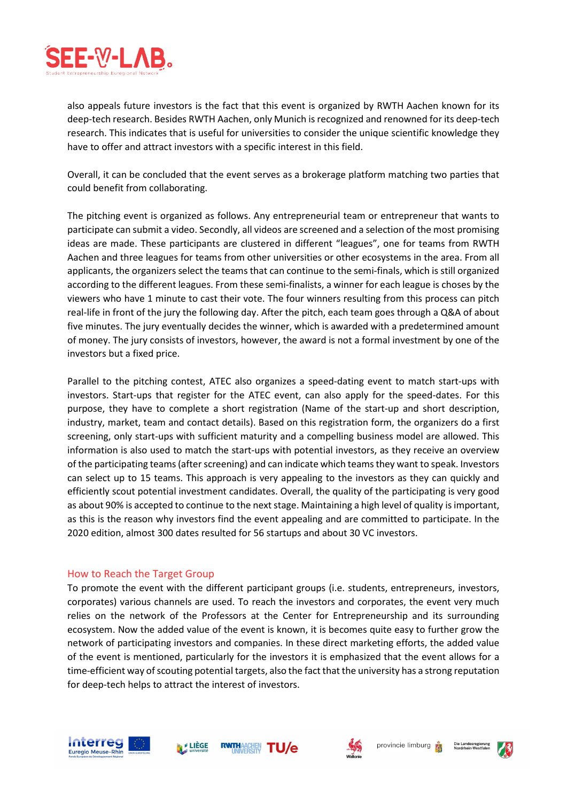

also appeals future investors is the fact that this event is organized by RWTH Aachen known for its deep-tech research. Besides RWTH Aachen, only Munich is recognized and renowned for its deep-tech research. This indicates that is useful for universities to consider the unique scientific knowledge they have to offer and attract investors with a specific interest in this field.

Overall, it can be concluded that the event serves as a brokerage platform matching two parties that could benefit from collaborating.

The pitching event is organized as follows. Any entrepreneurial team or entrepreneur that wants to participate can submit a video. Secondly, all videos are screened and a selection of the most promising ideas are made. These participants are clustered in different "leagues", one for teams from RWTH Aachen and three leagues for teams from other universities or other ecosystems in the area. From all applicants, the organizers select the teams that can continue to the semi-finals, which is still organized according to the different leagues. From these semi-finalists, a winner for each league is choses by the viewers who have 1 minute to cast their vote. The four winners resulting from this process can pitch real-life in front of the jury the following day. After the pitch, each team goes through a Q&A of about five minutes. The jury eventually decides the winner, which is awarded with a predetermined amount of money. The jury consists of investors, however, the award is not a formal investment by one of the investors but a fixed price.

Parallel to the pitching contest, ATEC also organizes a speed-dating event to match start-ups with investors. Start-ups that register for the ATEC event, can also apply for the speed-dates. For this purpose, they have to complete a short registration (Name of the start-up and short description, industry, market, team and contact details). Based on this registration form, the organizers do a first screening, only start-ups with sufficient maturity and a compelling business model are allowed. This information is also used to match the start-ups with potential investors, as they receive an overview of the participating teams (after screening) and can indicate which teams they want to speak. Investors can select up to 15 teams. This approach is very appealing to the investors as they can quickly and efficiently scout potential investment candidates. Overall, the quality of the participating is very good as about 90% is accepted to continue to the next stage. Maintaining a high level of quality is important, as this is the reason why investors find the event appealing and are committed to participate. In the 2020 edition, almost 300 dates resulted for 56 startups and about 30 VC investors.

#### How to Reach the Target Group

To promote the event with the different participant groups (i.e. students, entrepreneurs, investors, corporates) various channels are used. To reach the investors and corporates, the event very much relies on the network of the Professors at the Center for Entrepreneurship and its surrounding ecosystem. Now the added value of the event is known, it is becomes quite easy to further grow the network of participating investors and companies. In these direct marketing efforts, the added value of the event is mentioned, particularly for the investors it is emphasized that the event allows for a time-efficient way of scouting potential targets, also the fact that the university has a strong reputation for deep-tech helps to attract the interest of investors.







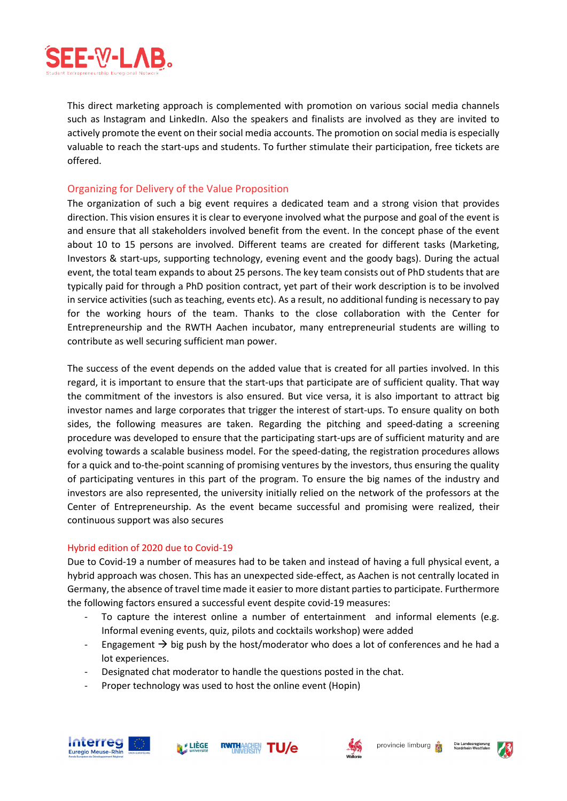

This direct marketing approach is complemented with promotion on various social media channels such as Instagram and LinkedIn. Also the speakers and finalists are involved as they are invited to actively promote the event on their social media accounts. The promotion on social media is especially valuable to reach the start-ups and students. To further stimulate their participation, free tickets are offered.

#### Organizing for Delivery of the Value Proposition

The organization of such a big event requires a dedicated team and a strong vision that provides direction. This vision ensures it is clear to everyone involved what the purpose and goal of the event is and ensure that all stakeholders involved benefit from the event. In the concept phase of the event about 10 to 15 persons are involved. Different teams are created for different tasks (Marketing, Investors & start-ups, supporting technology, evening event and the goody bags). During the actual event, the total team expands to about 25 persons. The key team consists out of PhD students that are typically paid for through a PhD position contract, yet part of their work description is to be involved in service activities (such as teaching, events etc). As a result, no additional funding is necessary to pay for the working hours of the team. Thanks to the close collaboration with the Center for Entrepreneurship and the RWTH Aachen incubator, many entrepreneurial students are willing to contribute as well securing sufficient man power.

The success of the event depends on the added value that is created for all parties involved. In this regard, it is important to ensure that the start-ups that participate are of sufficient quality. That way the commitment of the investors is also ensured. But vice versa, it is also important to attract big investor names and large corporates that trigger the interest of start-ups. To ensure quality on both sides, the following measures are taken. Regarding the pitching and speed-dating a screening procedure was developed to ensure that the participating start-ups are of sufficient maturity and are evolving towards a scalable business model. For the speed-dating, the registration procedures allows for a quick and to-the-point scanning of promising ventures by the investors, thus ensuring the quality of participating ventures in this part of the program. To ensure the big names of the industry and investors are also represented, the university initially relied on the network of the professors at the Center of Entrepreneurship. As the event became successful and promising were realized, their continuous support was also secures

#### Hybrid edition of 2020 due to Covid-19

Due to Covid-19 a number of measures had to be taken and instead of having a full physical event, a hybrid approach was chosen. This has an unexpected side-effect, as Aachen is not centrally located in Germany, the absence of travel time made it easier to more distant parties to participate. Furthermore the following factors ensured a successful event despite covid-19 measures:

- To capture the interest online a number of entertainment and informal elements (e.g. Informal evening events, quiz, pilots and cocktails workshop) were added
- Engagement  $\rightarrow$  big push by the host/moderator who does a lot of conferences and he had a lot experiences.
- Designated chat moderator to handle the questions posted in the chat.
- Proper technology was used to host the online event (Hopin)